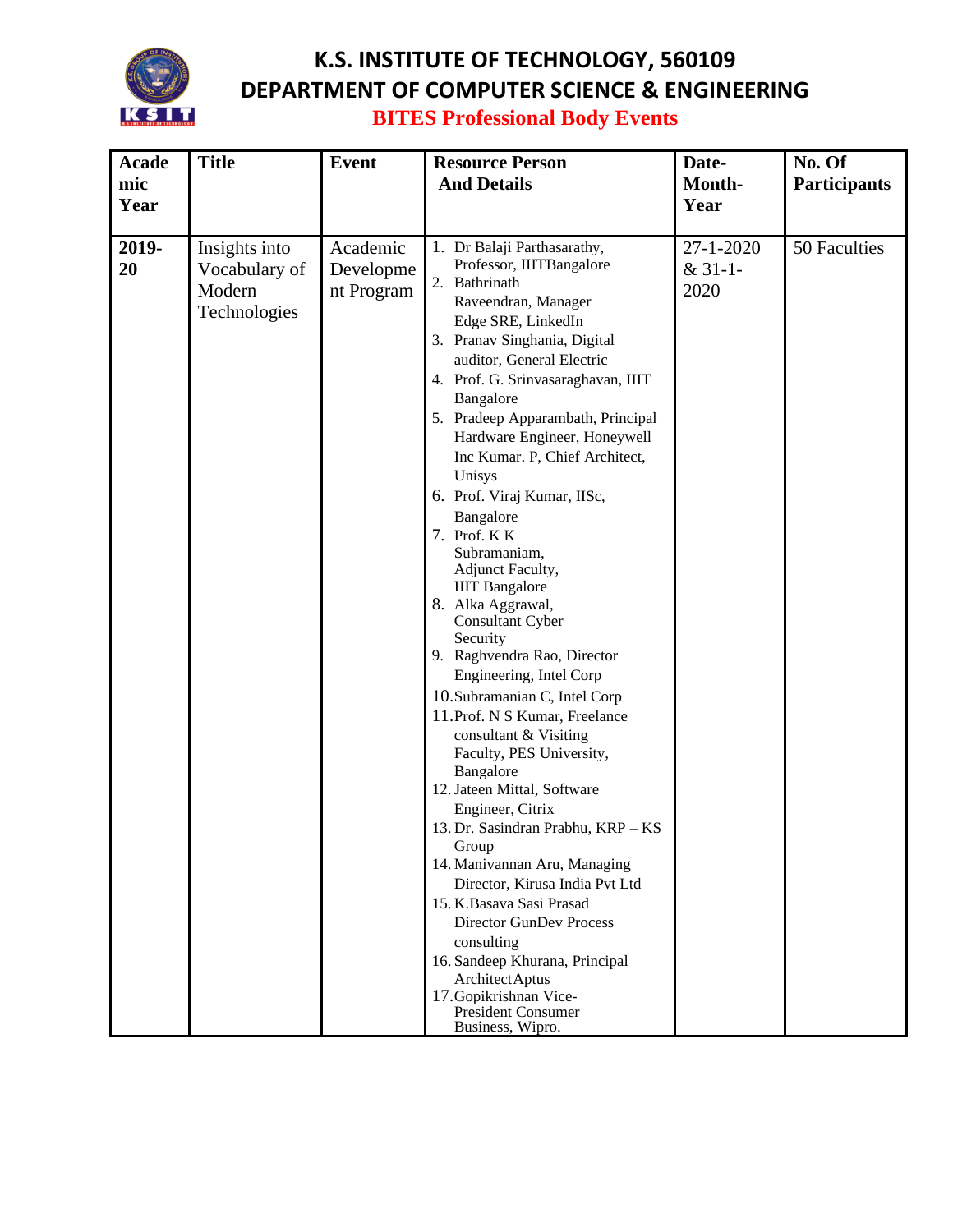

## **K.S. INSTITUTE OF TECHNOLOGY, 560109 DEPARTMENT OF COMPUTER SCIENCE & ENGINEERING BITES Professional Body Events**

| <b>Acade</b><br>mic<br>Year | <b>Title</b>                                             | <b>Event</b>                        | <b>Resource Person</b><br><b>And Details</b>                                                                                                                                                                                                                                                                                                                                                                                                                                                                                                                                                                                                                                                                                                                                                                                                                                                                                                                                                                                                                                                                       | Date-<br>Month-<br>Year             | No. Of<br><b>Participants</b> |
|-----------------------------|----------------------------------------------------------|-------------------------------------|--------------------------------------------------------------------------------------------------------------------------------------------------------------------------------------------------------------------------------------------------------------------------------------------------------------------------------------------------------------------------------------------------------------------------------------------------------------------------------------------------------------------------------------------------------------------------------------------------------------------------------------------------------------------------------------------------------------------------------------------------------------------------------------------------------------------------------------------------------------------------------------------------------------------------------------------------------------------------------------------------------------------------------------------------------------------------------------------------------------------|-------------------------------------|-------------------------------|
| 2019-<br>20                 | Insights into<br>Vocabulary of<br>Modern<br>Technologies | Academic<br>Developme<br>nt Program | 1. Dr Balaji Parthasarathy,<br>Professor, IIITBangalore<br>2. Bathrinath<br>Raveendran, Manager<br>Edge SRE, LinkedIn<br>3. Pranav Singhania, Digital<br>auditor, General Electric<br>4. Prof. G. Srinvasaraghavan, IIIT<br>Bangalore<br>5. Pradeep Apparambath, Principal<br>Hardware Engineer, Honeywell<br>Inc Kumar. P, Chief Architect,<br>Unisys<br>6. Prof. Viraj Kumar, IISc,<br>Bangalore<br>7. Prof. KK<br>Subramaniam,<br>Adjunct Faculty,<br><b>IIIT</b> Bangalore<br>8. Alka Aggrawal,<br>Consultant Cyber<br>Security<br>9. Raghvendra Rao, Director<br>Engineering, Intel Corp<br>10. Subramanian C, Intel Corp<br>11. Prof. N S Kumar, Freelance<br>consultant & Visiting<br>Faculty, PES University,<br>Bangalore<br>12. Jateen Mittal, Software<br>Engineer, Citrix<br>13. Dr. Sasindran Prabhu, KRP - KS<br>Group<br>14. Manivannan Aru, Managing<br>Director, Kirusa India Pvt Ltd<br>15. K.Basava Sasi Prasad<br><b>Director GunDev Process</b><br>consulting<br>16. Sandeep Khurana, Principal<br>Architect Aptus<br>17. Gopikrishnan Vice-<br><b>President Consumer</b><br>Business, Wipro. | $27 - 1 - 2020$<br>$&31-1-$<br>2020 | 50 Faculties                  |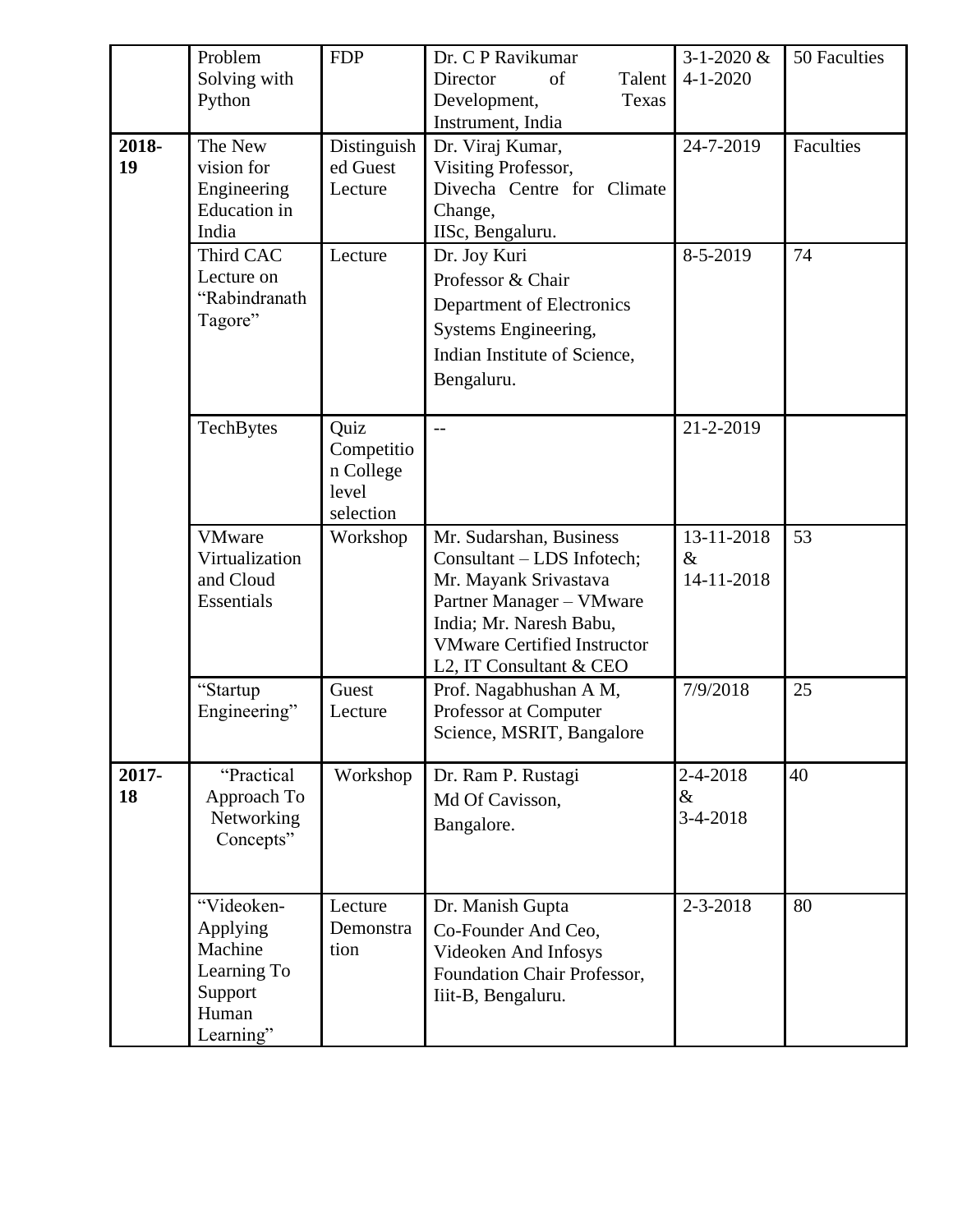| 2018-<br>19 | Problem<br>Solving with<br>Python<br>The New<br>vision for<br>Engineering<br><b>Education</b> in<br>India<br>Third CAC<br>Lecture on<br>"Rabindranath<br>Tagore" | <b>FDP</b><br>Distinguish<br>ed Guest<br>Lecture<br>Lecture | Dr. C P Ravikumar<br>Director<br>of<br>Talent<br>Development,<br>Texas<br>Instrument, India<br>Dr. Viraj Kumar,<br>Visiting Professor,<br>Divecha Centre for Climate<br>Change,<br>IISc, Bengaluru.<br>Dr. Joy Kuri<br>Professor & Chair<br>Department of Electronics<br>Systems Engineering,<br>Indian Institute of Science,<br>Bengaluru. | $3 - 1 - 2020 \&$<br>$4 - 1 - 2020$<br>24-7-2019<br>8-5-2019 | 50 Faculties<br>Faculties<br>74 |
|-------------|------------------------------------------------------------------------------------------------------------------------------------------------------------------|-------------------------------------------------------------|---------------------------------------------------------------------------------------------------------------------------------------------------------------------------------------------------------------------------------------------------------------------------------------------------------------------------------------------|--------------------------------------------------------------|---------------------------------|
|             | TechBytes                                                                                                                                                        | Quiz<br>Competitio<br>n College<br>level<br>selection       | $\overline{a}$                                                                                                                                                                                                                                                                                                                              | 21-2-2019                                                    |                                 |
|             | <b>VMware</b><br>Virtualization<br>and Cloud<br>Essentials                                                                                                       | Workshop                                                    | Mr. Sudarshan, Business<br>Consultant - LDS Infotech;<br>Mr. Mayank Srivastava<br>Partner Manager - VMware<br>India; Mr. Naresh Babu,<br><b>VMware Certified Instructor</b><br>L2, IT Consultant & CEO                                                                                                                                      | 13-11-2018<br>$\&$<br>14-11-2018                             | 53                              |
|             | "Startup<br>Engineering"                                                                                                                                         | Guest<br>Lecture                                            | Prof. Nagabhushan A M,<br>Professor at Computer<br>Science, MSRIT, Bangalore                                                                                                                                                                                                                                                                | 7/9/2018                                                     | 25                              |
| 2017-<br>18 | "Practical<br>Approach To<br>Networking<br>Concepts"                                                                                                             | Workshop                                                    | Dr. Ram P. Rustagi<br>Md Of Cavisson,<br>Bangalore.                                                                                                                                                                                                                                                                                         | 2-4-2018<br>$\&$<br>$3-4-2018$                               | 40                              |
|             | "Videoken-<br>Applying<br>Machine<br>Learning To<br>Support<br>Human<br>Learning"                                                                                | Lecture<br>Demonstra<br>tion                                | Dr. Manish Gupta<br>Co-Founder And Ceo,<br>Videoken And Infosys<br>Foundation Chair Professor,<br>Iiit-B, Bengaluru.                                                                                                                                                                                                                        | $2 - 3 - 2018$                                               | 80                              |